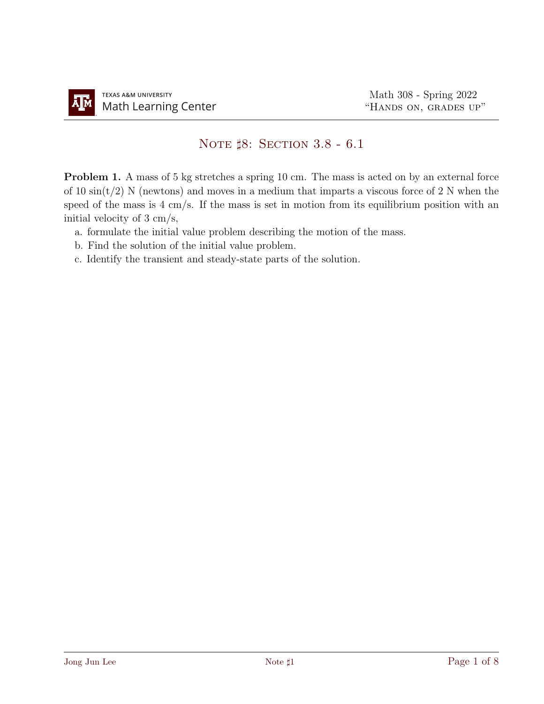## NOTE  $\sharp 8$ : SECTION 3.8 - 6.1

Problem 1. A mass of 5 kg stretches a spring 10 cm. The mass is acted on by an external force of 10  $\sin(t/2)$  N (newtons) and moves in a medium that imparts a viscous force of 2 N when the speed of the mass is 4 cm/s. If the mass is set in motion from its equilibrium position with an initial velocity of 3 cm/s,

- a. formulate the initial value problem describing the motion of the mass.
- b. Find the solution of the initial value problem.
- c. Identify the transient and steady-state parts of the solution.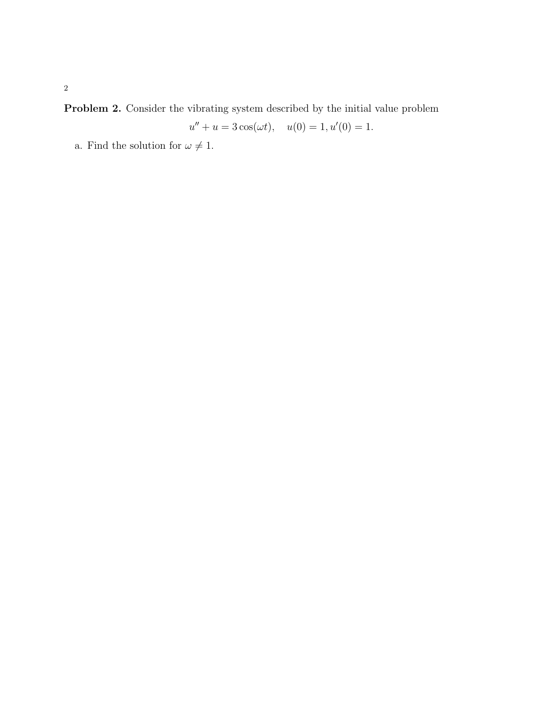Problem 2. Consider the vibrating system described by the initial value problem

$$
u'' + u = 3\cos(\omega t), \quad u(0) = 1, u'(0) = 1.
$$

a. Find the solution for  $\omega \neq 1.$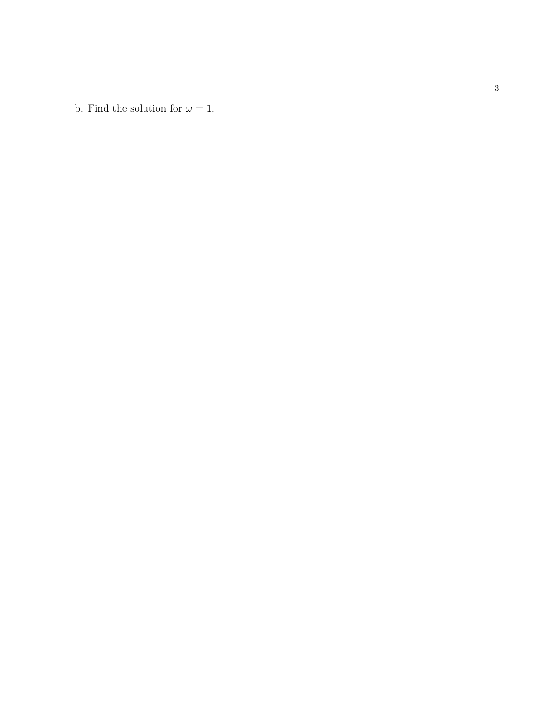b. Find the solution for  $\omega = 1$ .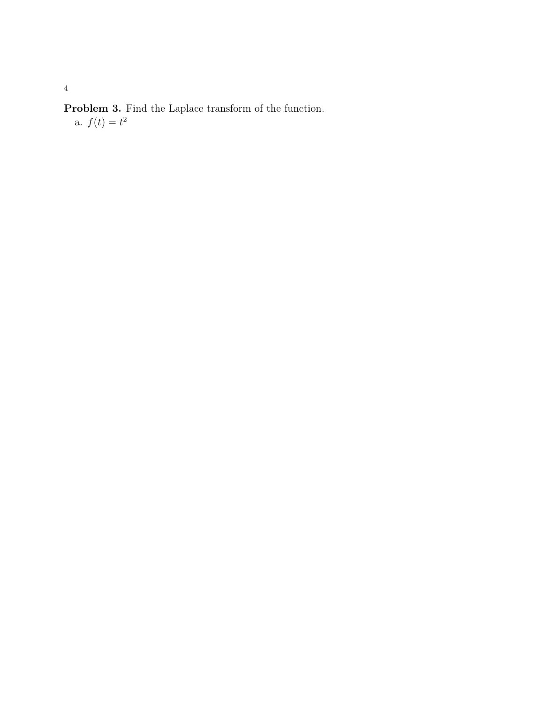Problem 3. Find the Laplace transform of the function. a.  $f(t) = t^2$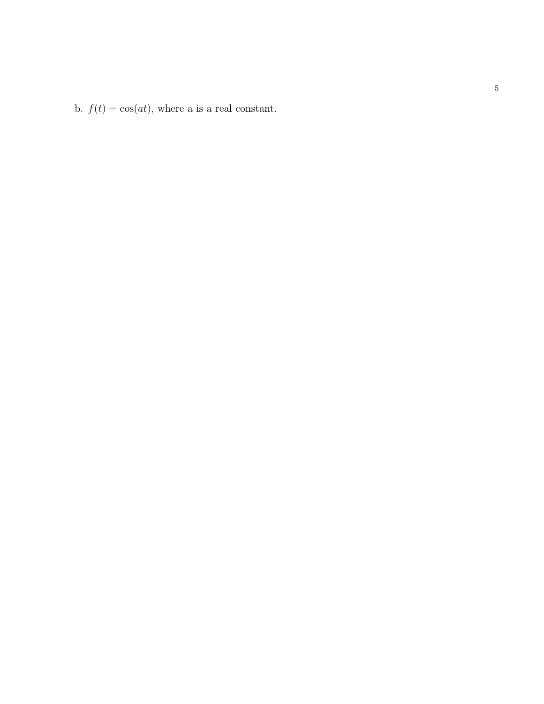b.  $f(t) = \cos(at)$ , where a is a real constant.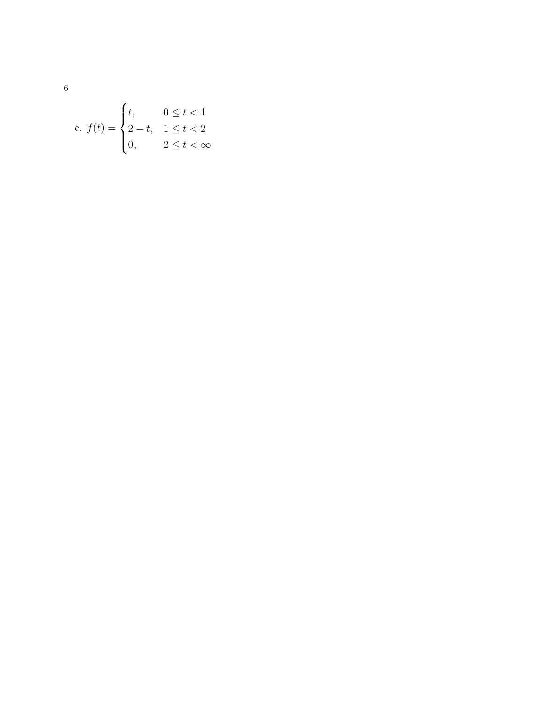c. 
$$
f(t) = \begin{cases} t, & 0 \le t < 1 \\ 2 - t, & 1 \le t < 2 \\ 0, & 2 \le t < \infty \end{cases}
$$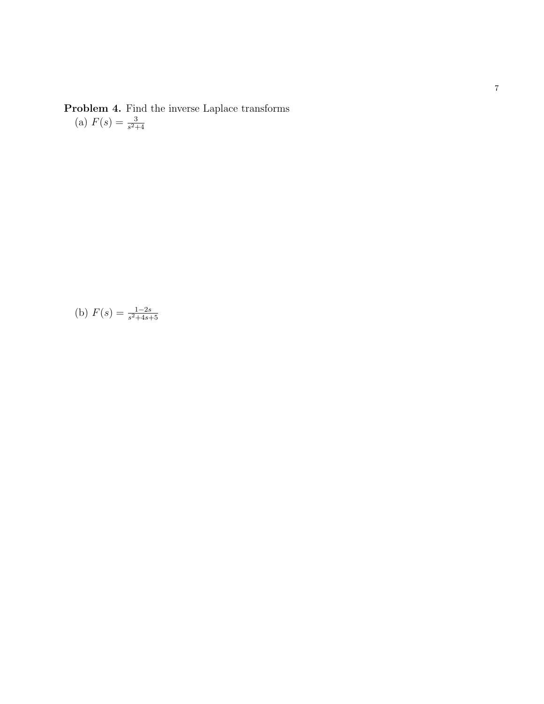Problem 4. Find the inverse Laplace transforms (a)  $F(s) = \frac{3}{s^2+4}$ 

(b) 
$$
F(s) = \frac{1-2s}{s^2+4s+5}
$$